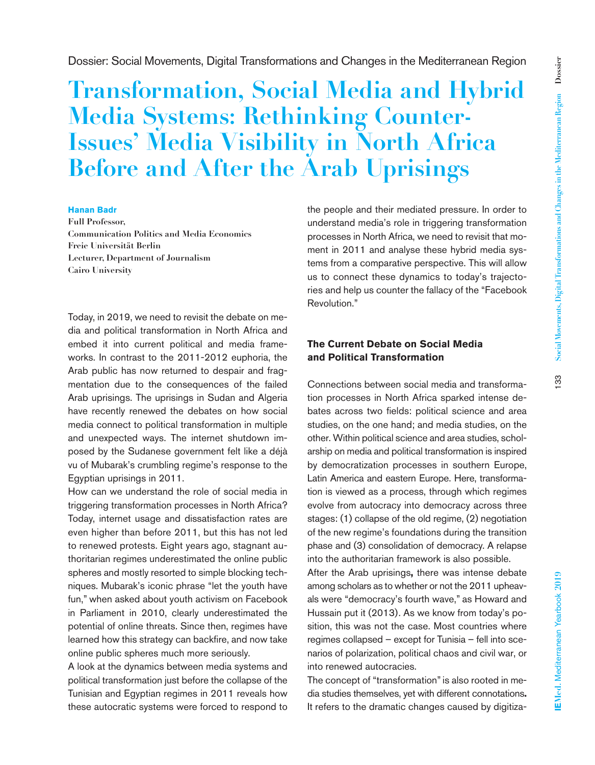# **Transformation, Social Media and Hybrid Media Systems: Rethinking Counter-Issues' Media Visibility in North Africa Before and After the Arab Uprisings**

#### **Hanan Badr**

**Full Professor, Communication Politics and Media Economics Freie Universität Berlin Lecturer, Department of Journalism Cairo University**

Today, in 2019, we need to revisit the debate on media and political transformation in North Africa and embed it into current political and media frameworks. In contrast to the 2011-2012 euphoria, the Arab public has now returned to despair and fragmentation due to the consequences of the failed Arab uprisings. The uprisings in Sudan and Algeria have recently renewed the debates on how social media connect to political transformation in multiple and unexpected ways. The internet shutdown imposed by the Sudanese government felt like a déjà vu of Mubarak's crumbling regime's response to the Egyptian uprisings in 2011.

How can we understand the role of social media in triggering transformation processes in North Africa? Today, internet usage and dissatisfaction rates are even higher than before 2011, but this has not led to renewed protests. Eight years ago, stagnant authoritarian regimes underestimated the online public spheres and mostly resorted to simple blocking techniques. Mubarak's iconic phrase "let the youth have fun," when asked about youth activism on Facebook in Parliament in 2010, clearly underestimated the potential of online threats. Since then, regimes have learned how this strategy can backfire, and now take online public spheres much more seriously.

A look at the dynamics between media systems and political transformation just before the collapse of the Tunisian and Egyptian regimes in 2011 reveals how these autocratic systems were forced to respond to

the people and their mediated pressure. In order to understand media's role in triggering transformation processes in North Africa, we need to revisit that moment in 2011 and analyse these hybrid media systems from a comparative perspective. This will allow us to connect these dynamics to today's trajectories and help us counter the fallacy of the "Facebook Revolution."

## **The Current Debate on Social Media and Political Transformation**

Connections between social media and transformation processes in North Africa sparked intense debates across two fields: political science and area studies, on the one hand; and media studies, on the other. Within political science and area studies, scholarship on media and political transformation is inspired by democratization processes in southern Europe, Latin America and eastern Europe. Here, transformation is viewed as a process, through which regimes evolve from autocracy into democracy across three stages: (1) collapse of the old regime, (2) negotiation of the new regime's foundations during the transition phase and (3) consolidation of democracy. A relapse into the authoritarian framework is also possible.

After the Arab uprisings**,** there was intense debate among scholars as to whether or not the 2011 upheavals were "democracy's fourth wave," as Howard and Hussain put it (2013). As we know from today's position, this was not the case. Most countries where regimes collapsed – except for Tunisia – fell into scenarios of polarization, political chaos and civil war, or into renewed autocracies.

The concept of "transformation" is also rooted in media studies themselves, yet with different connotations**.**  It refers to the dramatic changes caused by digitiza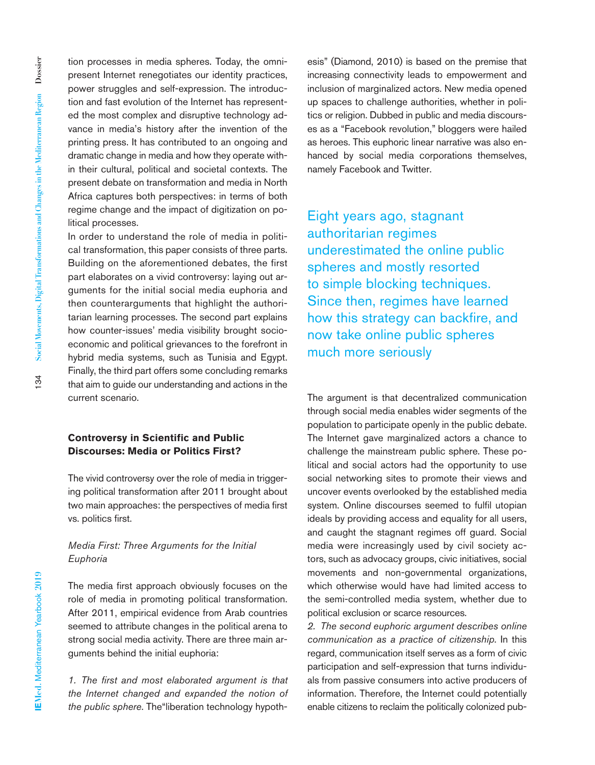tion processes in media spheres. Today, the omnipresent Internet renegotiates our identity practices, power struggles and self-expression. The introduction and fast evolution of the Internet has represented the most complex and disruptive technology advance in media's history after the invention of the printing press. It has contributed to an ongoing and dramatic change in media and how they operate within their cultural, political and societal contexts. The present debate on transformation and media in North Africa captures both perspectives: in terms of both regime change and the impact of digitization on political processes.

In order to understand the role of media in political transformation, this paper consists of three parts. Building on the aforementioned debates, the first part elaborates on a vivid controversy: laying out arguments for the initial social media euphoria and then counterarguments that highlight the authoritarian learning processes. The second part explains how counter-issues' media visibility brought socioeconomic and political grievances to the forefront in hybrid media systems, such as Tunisia and Egypt. Finally, the third part offers some concluding remarks that aim to guide our understanding and actions in the current scenario.

## **Controversy in Scientific and Public Discourses: Media or Politics First?**

The vivid controversy over the role of media in triggering political transformation after 2011 brought about two main approaches: the perspectives of media first vs. politics first.

## *Media First: Three Arguments for the Initial Euphoria*

The media first approach obviously focuses on the role of media in promoting political transformation. After 2011, empirical evidence from Arab countries seemed to attribute changes in the political arena to strong social media activity. There are three main arguments behind the initial euphoria:

*1. The first and most elaborated argument is that the Internet changed and expanded the notion of the public sphere*. The"liberation technology hypothesis" (Diamond, 2010) is based on the premise that increasing connectivity leads to empowerment and inclusion of marginalized actors. New media opened up spaces to challenge authorities, whether in politics or religion. Dubbed in public and media discourses as a "Facebook revolution," bloggers were hailed as heroes. This euphoric linear narrative was also enhanced by social media corporations themselves, namely Facebook and Twitter.

Eight years ago, stagnant authoritarian regimes underestimated the online public spheres and mostly resorted to simple blocking techniques. Since then, regimes have learned how this strategy can backfire, and now take online public spheres much more seriously

The argument is that decentralized communication through social media enables wider segments of the population to participate openly in the public debate. The Internet gave marginalized actors a chance to challenge the mainstream public sphere. These political and social actors had the opportunity to use social networking sites to promote their views and uncover events overlooked by the established media system. Online discourses seemed to fulfil utopian ideals by providing access and equality for all users, and caught the stagnant regimes off guard. Social media were increasingly used by civil society actors, such as advocacy groups, civic initiatives, social movements and non-governmental organizations, which otherwise would have had limited access to the semi-controlled media system, whether due to political exclusion or scarce resources.

*2. The second euphoric argument describes online communication as a practice of citizenship*. In this regard, communication itself serves as a form of civic participation and self-expression that turns individuals from passive consumers into active producers of information. Therefore, the Internet could potentially enable citizens to reclaim the politically colonized pub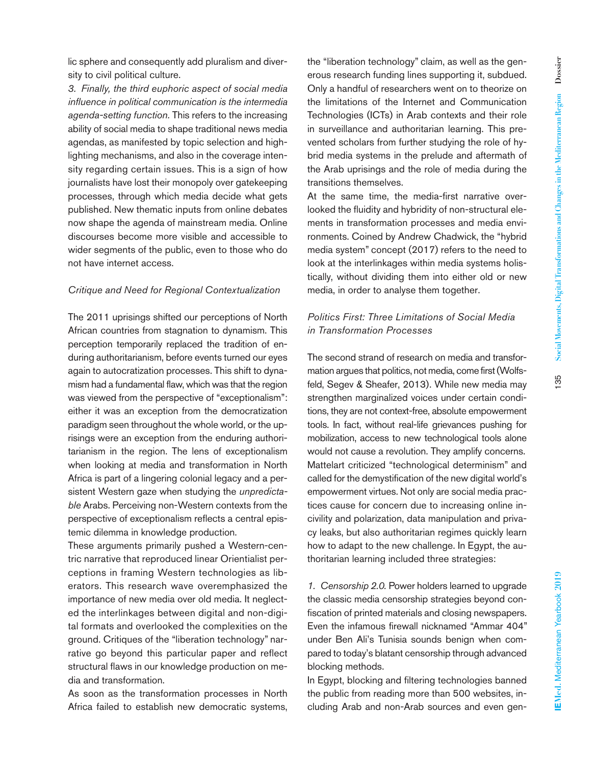lic sphere and consequently add pluralism and diversity to civil political culture.

*3. Finally, the third euphoric aspect of social media influence in political communication is the intermedia agenda-setting function.* This refers to the increasing ability of social media to shape traditional news media agendas, as manifested by topic selection and highlighting mechanisms, and also in the coverage intensity regarding certain issues. This is a sign of how journalists have lost their monopoly over gatekeeping processes, through which media decide what gets published. New thematic inputs from online debates now shape the agenda of mainstream media. Online discourses become more visible and accessible to wider segments of the public, even to those who do not have internet access.

#### *Critique and Need for Regional Contextualization*

The 2011 uprisings shifted our perceptions of North African countries from stagnation to dynamism. This perception temporarily replaced the tradition of enduring authoritarianism, before events turned our eyes again to autocratization processes. This shift to dynamism had a fundamental flaw, which was that the region was viewed from the perspective of "exceptionalism": either it was an exception from the democratization paradigm seen throughout the whole world, or the uprisings were an exception from the enduring authoritarianism in the region. The lens of exceptionalism when looking at media and transformation in North Africa is part of a lingering colonial legacy and a persistent Western gaze when studying the *unpredictable* Arabs. Perceiving non-Western contexts from the perspective of exceptionalism reflects a central epistemic dilemma in knowledge production.

These arguments primarily pushed a Western-centric narrative that reproduced linear Orientialist perceptions in framing Western technologies as liberators. This research wave overemphasized the importance of new media over old media. It neglected the interlinkages between digital and non-digital formats and overlooked the complexities on the ground. Critiques of the "liberation technology" narrative go beyond this particular paper and reflect structural flaws in our knowledge production on media and transformation.

As soon as the transformation processes in North Africa failed to establish new democratic systems, the "liberation technology" claim, as well as the generous research funding lines supporting it, subdued. Only a handful of researchers went on to theorize on the limitations of the Internet and Communication Technologies (ICTs) in Arab contexts and their role in surveillance and authoritarian learning. This prevented scholars from further studying the role of hybrid media systems in the prelude and aftermath of the Arab uprisings and the role of media during the transitions themselves.

At the same time, the media-first narrative overlooked the fluidity and hybridity of non-structural elements in transformation processes and media environments. Coined by Andrew Chadwick, the "hybrid media system" concept (2017) refers to the need to look at the interlinkages within media systems holistically, without dividing them into either old or new media, in order to analyse them together.

# *Politics First: Three Limitations of Social Media in Transformation Processes*

The second strand of research on media and transformation argues that politics, not media, come first (Wolfsfeld, Segev & Sheafer, 2013). While new media may strengthen marginalized voices under certain conditions, they are not context-free, absolute empowerment tools. In fact, without real-life grievances pushing for mobilization, access to new technological tools alone would not cause a revolution. They amplify concerns. Mattelart criticized "technological determinism" and called for the demystification of the new digital world's empowerment virtues. Not only are social media practices cause for concern due to increasing online incivility and polarization, data manipulation and privacy leaks, but also authoritarian regimes quickly learn how to adapt to the new challenge. In Egypt, the authoritarian learning included three strategies:

*1. Censorship 2.0.* Power holders learned to upgrade the classic media censorship strategies beyond confiscation of printed materials and closing newspapers. Even the infamous firewall nicknamed "Ammar 404" under Ben Ali's Tunisia sounds benign when compared to today's blatant censorship through advanced blocking methods.

In Egypt, blocking and filtering technologies banned the public from reading more than 500 websites, including Arab and non-Arab sources and even gen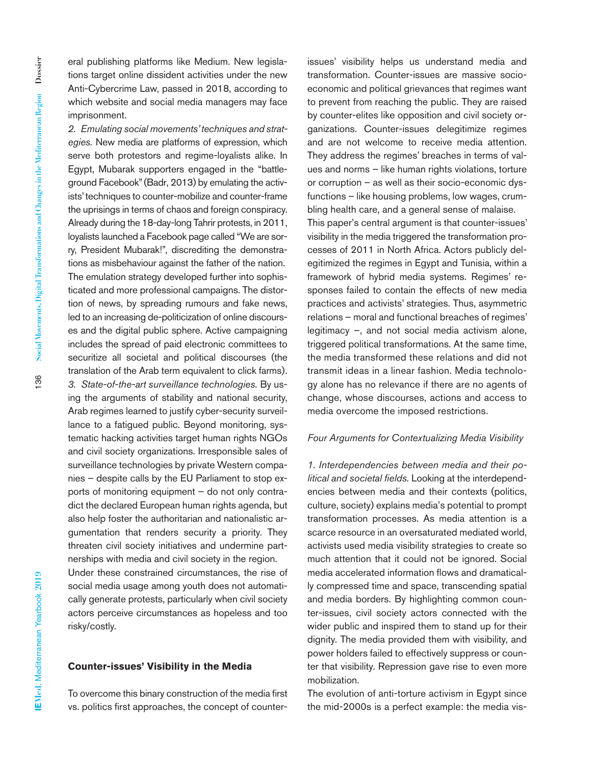eral publishing platforms like Medium. New legislations target online dissident activities under the new Anti-Cybercrime Law, passed in 2018, according to which website and social media managers may face imprisonment.

*2. Emulating social movements' techniques and strategies.* New media are platforms of expression, which serve both protestors and regime-loyalists alike. In Egypt, Mubarak supporters engaged in the "battleground Facebook" (Badr, 2013) by emulating the activists' techniques to counter-mobilize and counter-frame the uprisings in terms of chaos and foreign conspiracy. Already during the 18-day-long Tahrir protests, in 2011, loyalists launched a Facebook page called "We are sorry, President Mubarak!", discrediting the demonstrations as misbehaviour against the father of the nation. The emulation strategy developed further into sophisticated and more professional campaigns. The distortion of news, by spreading rumours and fake news, led to an increasing de-politicization of online discourses and the digital public sphere. Active campaigning includes the spread of paid electronic committees to securitize all societal and political discourses (the translation of the Arab term equivalent to click farms). *3. State-of-the-art surveillance technologies.* By using the arguments of stability and national security, Arab regimes learned to justify cyber-security surveillance to a fatigued public. Beyond monitoring, systematic hacking activities target human rights NGOs and civil society organizations. Irresponsible sales of surveillance technologies by private Western companies – despite calls by the EU Parliament to stop exports of monitoring equipment – do not only contradict the declared European human rights agenda, but also help foster the authoritarian and nationalistic argumentation that renders security a priority. They threaten civil society initiatives and undermine partnerships with media and civil society in the region. Under these constrained circumstances, the rise of social media usage among youth does not automatically generate protests, particularly when civil society actors perceive circumstances as hopeless and too

**Counter-issues' Visibility in the Media**

To overcome this binary construction of the media first vs. politics first approaches, the concept of counterissues' visibility helps us understand media and transformation. Counter-issues are massive socioeconomic and political grievances that regimes want to prevent from reaching the public. They are raised by counter-elites like opposition and civil society organizations. Counter-issues delegitimize regimes and are not welcome to receive media attention. They address the regimes' breaches in terms of values and norms – like human rights violations, torture or corruption – as well as their socio-economic dysfunctions – like housing problems, low wages, crumbling health care, and a general sense of malaise. This paper's central argument is that counter-issues' visibility in the media triggered the transformation processes of 2011 in North Africa. Actors publicly delegitimized the regimes in Egypt and Tunisia, within a framework of hybrid media systems. Regimes' responses failed to contain the effects of new media practices and activists' strategies. Thus, asymmetric relations – moral and functional breaches of regimes' legitimacy –, and not social media activism alone, triggered political transformations. At the same time, the media transformed these relations and did not transmit ideas in a linear fashion. Media technology alone has no relevance if there are no agents of

#### *Four Arguments for Contextualizing Media Visibility*

change, whose discourses, actions and access to

media overcome the imposed restrictions.

*1. Interdependencies between media and their political and societal fields.* Looking at the interdependencies between media and their contexts (politics, culture, society) explains media's potential to prompt transformation processes. As media attention is a scarce resource in an oversaturated mediated world, activists used media visibility strategies to create so much attention that it could not be ignored. Social media accelerated information flows and dramatically compressed time and space, transcending spatial and media borders. By highlighting common counter-issues, civil society actors connected with the wider public and inspired them to stand up for their dignity. The media provided them with visibility, and power holders failed to effectively suppress or counter that visibility. Repression gave rise to even more mobilization.

The evolution of anti-torture activism in Egypt since the mid-2000s is a perfect example: the media vis-

risky/costly.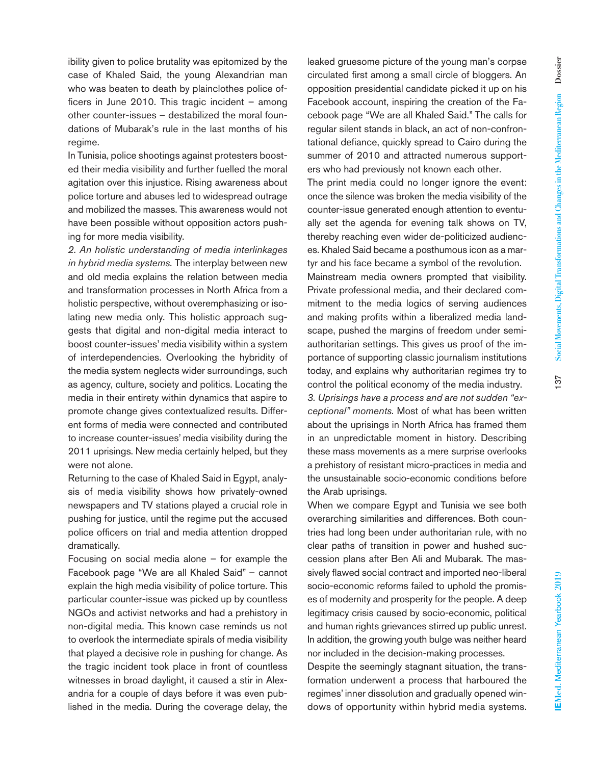In Tunisia, police shootings against protesters boosted their media visibility and further fuelled the moral agitation over this injustice. Rising awareness about police torture and abuses led to widespread outrage and mobilized the masses. This awareness would not have been possible without opposition actors pushing for more media visibility.

*2. An holistic understanding of media interlinkages in hybrid media systems.* The interplay between new and old media explains the relation between media and transformation processes in North Africa from a holistic perspective, without overemphasizing or isolating new media only. This holistic approach suggests that digital and non-digital media interact to boost counter-issues' media visibility within a system of interdependencies. Overlooking the hybridity of the media system neglects wider surroundings, such as agency, culture, society and politics. Locating the media in their entirety within dynamics that aspire to promote change gives contextualized results. Different forms of media were connected and contributed to increase counter-issues' media visibility during the 2011 uprisings. New media certainly helped, but they were not alone.

Returning to the case of Khaled Said in Egypt, analysis of media visibility shows how privately-owned newspapers and TV stations played a crucial role in pushing for justice, until the regime put the accused police officers on trial and media attention dropped dramatically.

Focusing on social media alone – for example the Facebook page "We are all Khaled Said" – cannot explain the high media visibility of police torture. This particular counter-issue was picked up by countless NGOs and activist networks and had a prehistory in non-digital media. This known case reminds us not to overlook the intermediate spirals of media visibility that played a decisive role in pushing for change. As the tragic incident took place in front of countless witnesses in broad daylight, it caused a stir in Alexandria for a couple of days before it was even published in the media. During the coverage delay, the

leaked gruesome picture of the young man's corpse circulated first among a small circle of bloggers. An opposition presidential candidate picked it up on his Facebook account, inspiring the creation of the Facebook page "We are all Khaled Said." The calls for regular silent stands in black, an act of non-confrontational defiance, quickly spread to Cairo during the summer of 2010 and attracted numerous supporters who had previously not known each other.

The print media could no longer ignore the event: once the silence was broken the media visibility of the counter-issue generated enough attention to eventually set the agenda for evening talk shows on TV, thereby reaching even wider de-politicized audiences. Khaled Said became a posthumous icon as a martyr and his face became a symbol of the revolution. Mainstream media owners prompted that visibility. Private professional media, and their declared commitment to the media logics of serving audiences and making profits within a liberalized media landscape, pushed the margins of freedom under semiauthoritarian settings. This gives us proof of the importance of supporting classic journalism institutions today, and explains why authoritarian regimes try to control the political economy of the media industry. *3. Uprisings have a process and are not sudden "exceptional" moments.* Most of what has been written about the uprisings in North Africa has framed them in an unpredictable moment in history. Describing these mass movements as a mere surprise overlooks a prehistory of resistant micro-practices in media and the unsustainable socio-economic conditions before the Arab uprisings.

When we compare Egypt and Tunisia we see both overarching similarities and differences. Both countries had long been under authoritarian rule, with no clear paths of transition in power and hushed succession plans after Ben Ali and Mubarak. The massively flawed social contract and imported neo-liberal socio-economic reforms failed to uphold the promises of modernity and prosperity for the people. A deep legitimacy crisis caused by socio-economic, political and human rights grievances stirred up public unrest. In addition, the growing youth bulge was neither heard nor included in the decision-making processes.

Despite the seemingly stagnant situation, the transformation underwent a process that harboured the regimes' inner dissolution and gradually opened windows of opportunity within hybrid media systems.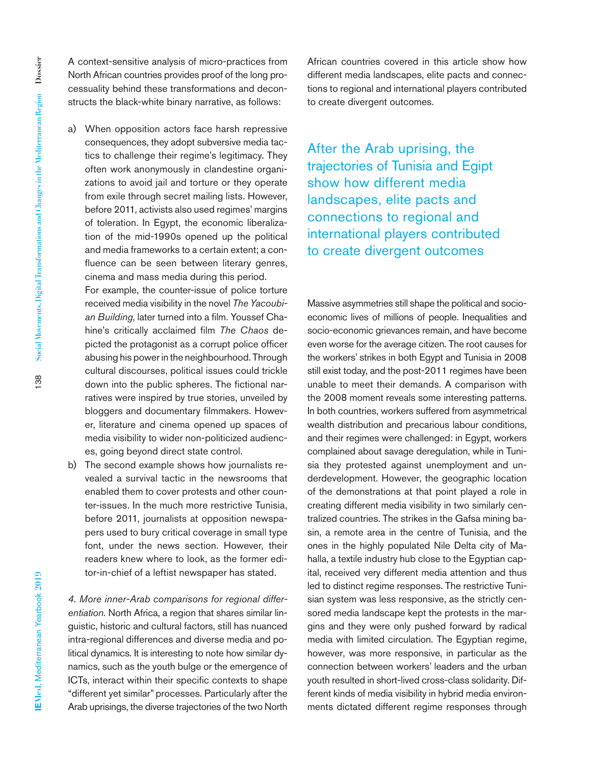A context-sensitive analysis of micro-practices from North African countries provides proof of the long processuality behind these transformations and deconstructs the black-white binary narrative, as follows:

a) When opposition actors face harsh repressive consequences, they adopt subversive media tactics to challenge their regime's legitimacy. They often work anonymously in clandestine organizations to avoid jail and torture or they operate from exile through secret mailing lists. However, before 2011, activists also used regimes' margins of toleration. In Egypt, the economic liberalization of the mid-1990s opened up the political and media frameworks to a certain extent; a confluence can be seen between literary genres, cinema and mass media during this period.

For example, the counter-issue of police torture received media visibility in the novel *The Yacoubian Building*, later turned into a film. Youssef Chahine's critically acclaimed film *The Chaos* depicted the protagonist as a corrupt police officer abusing his power in the neighbourhood. Through cultural discourses, political issues could trickle down into the public spheres. The fictional narratives were inspired by true stories, unveiled by bloggers and documentary filmmakers. However, literature and cinema opened up spaces of media visibility to wider non-politicized audiences, going beyond direct state control.

b) The second example shows how journalists revealed a survival tactic in the newsrooms that enabled them to cover protests and other counter-issues. In the much more restrictive Tunisia, before 2011, journalists at opposition newspapers used to bury critical coverage in small type font, under the news section. However, their readers knew where to look, as the former editor-in-chief of a leftist newspaper has stated.

*4. More inner-Arab comparisons for regional differentiation.* North Africa, a region that shares similar linguistic, historic and cultural factors, still has nuanced intra-regional differences and diverse media and political dynamics. It is interesting to note how similar dynamics, such as the youth bulge or the emergence of ICTs, interact within their specific contexts to shape "different yet similar" processes. Particularly after the Arab uprisings, the diverse trajectories of the two North African countries covered in this article show how different media landscapes, elite pacts and connections to regional and international players contributed to create divergent outcomes.

After the Arab uprising, the trajectories of Tunisia and Egipt show how different media landscapes, elite pacts and connections to regional and international players contributed to create divergent outcomes

Massive asymmetries still shape the political and socioeconomic lives of millions of people. Inequalities and socio-economic grievances remain, and have become even worse for the average citizen. The root causes for the workers' strikes in both Egypt and Tunisia in 2008 still exist today, and the post-2011 regimes have been unable to meet their demands. A comparison with the 2008 moment reveals some interesting patterns. In both countries, workers suffered from asymmetrical wealth distribution and precarious labour conditions, and their regimes were challenged: in Egypt, workers complained about savage deregulation, while in Tunisia they protested against unemployment and underdevelopment. However, the geographic location of the demonstrations at that point played a role in creating different media visibility in two similarly centralized countries. The strikes in the Gafsa mining basin, a remote area in the centre of Tunisia, and the ones in the highly populated Nile Delta city of Mahalla, a textile industry hub close to the Egyptian capital, received very different media attention and thus led to distinct regime responses. The restrictive Tunisian system was less responsive, as the strictly censored media landscape kept the protests in the margins and they were only pushed forward by radical media with limited circulation. The Egyptian regime, however, was more responsive, in particular as the connection between workers' leaders and the urban youth resulted in short-lived cross-class solidarity. Different kinds of media visibility in hybrid media environments dictated different regime responses through